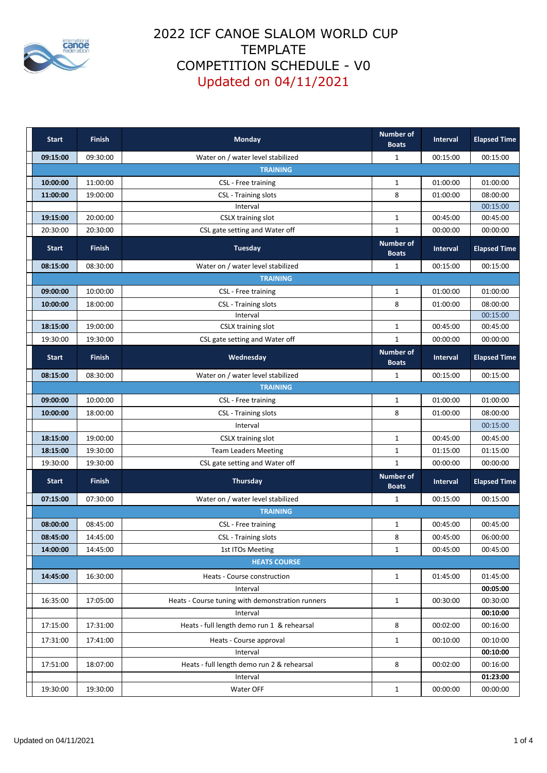

| <b>Start</b>        | <b>Finish</b>   | Monday                                           | <b>Number of</b><br><b>Boats</b> | Interval        | <b>Elapsed Time</b> |  |  |  |
|---------------------|-----------------|--------------------------------------------------|----------------------------------|-----------------|---------------------|--|--|--|
| 09:15:00            | 09:30:00        | Water on / water level stabilized                | $\mathbf{1}$                     | 00:15:00        | 00:15:00            |  |  |  |
|                     | <b>TRAINING</b> |                                                  |                                  |                 |                     |  |  |  |
| 10:00:00            | 11:00:00        | CSL - Free training                              | $\mathbf{1}$                     | 01:00:00        | 01:00:00            |  |  |  |
| 11:00:00            | 19:00:00        | <b>CSL</b> - Training slots                      | 8                                | 01:00:00        | 08:00:00            |  |  |  |
|                     |                 | Interval                                         |                                  |                 | 00:15:00            |  |  |  |
| 19:15:00            | 20:00:00        | CSLX training slot                               | $\mathbf{1}$                     | 00:45:00        | 00:45:00            |  |  |  |
| 20:30:00            | 20:30:00        | CSL gate setting and Water off                   | $\mathbf{1}$                     | 00:00:00        | 00:00:00            |  |  |  |
| <b>Start</b>        | <b>Finish</b>   | <b>Tuesday</b>                                   | <b>Number of</b><br><b>Boats</b> | <b>Interval</b> | <b>Elapsed Time</b> |  |  |  |
| 08:15:00            | 08:30:00        | Water on / water level stabilized                | 1                                | 00:15:00        | 00:15:00            |  |  |  |
|                     |                 | <b>TRAINING</b>                                  |                                  |                 |                     |  |  |  |
| 09:00:00            | 10:00:00        | CSL - Free training                              | $\mathbf{1}$                     | 01:00:00        | 01:00:00            |  |  |  |
| 10:00:00            | 18:00:00        | <b>CSL</b> - Training slots                      | 8                                | 01:00:00        | 08:00:00            |  |  |  |
|                     |                 | Interval                                         |                                  |                 | 00:15:00            |  |  |  |
| 18:15:00            | 19:00:00        | CSLX training slot                               | $\mathbf{1}$                     | 00:45:00        | 00:45:00            |  |  |  |
| 19:30:00            | 19:30:00        | CSL gate setting and Water off                   | $\mathbf{1}$                     | 00:00:00        | 00:00:00            |  |  |  |
| <b>Start</b>        | <b>Finish</b>   | Wednesday                                        | <b>Number of</b><br><b>Boats</b> | Interval        | <b>Elapsed Time</b> |  |  |  |
| 08:15:00            | 08:30:00        | Water on / water level stabilized                | 1                                | 00:15:00        | 00:15:00            |  |  |  |
|                     |                 | <b>TRAINING</b>                                  |                                  |                 |                     |  |  |  |
| 09:00:00            | 10:00:00        | CSL - Free training                              | $\mathbf{1}$                     | 01:00:00        | 01:00:00            |  |  |  |
| 10:00:00            | 18:00:00        | <b>CSL</b> - Training slots                      | 8                                | 01:00:00        | 08:00:00            |  |  |  |
|                     |                 | Interval                                         |                                  |                 | 00:15:00            |  |  |  |
| 18:15:00            | 19:00:00        | <b>CSLX training slot</b>                        | $\mathbf{1}$                     | 00:45:00        | 00:45:00            |  |  |  |
| 18:15:00            | 19:30:00        | <b>Team Leaders Meeting</b>                      | $\mathbf{1}$                     | 01:15:00        | 01:15:00            |  |  |  |
| 19:30:00            | 19:30:00        | CSL gate setting and Water off                   | $\mathbf{1}$                     | 00:00:00        | 00:00:00            |  |  |  |
| <b>Start</b>        | <b>Finish</b>   | Thursday                                         | <b>Number of</b><br><b>Boats</b> | <b>Interval</b> | <b>Elapsed Time</b> |  |  |  |
| 07:15:00            | 07:30:00        | Water on / water level stabilized                | $\mathbf{1}$                     | 00:15:00        | 00:15:00            |  |  |  |
| <b>TRAINING</b>     |                 |                                                  |                                  |                 |                     |  |  |  |
| 08:00:00            | 08:45:00        | CSL - Free training                              | 1                                | 00:45:00        | 00:45:00            |  |  |  |
| 08:45:00            | 14:45:00        | <b>CSL</b> - Training slots                      | 8                                | 00:45:00        | 06:00:00            |  |  |  |
| 14:00:00            | 14:45:00        | 1st ITOs Meeting                                 | $\mathbf{1}$                     | 00:45:00        | 00:45:00            |  |  |  |
| <b>HEATS COURSE</b> |                 |                                                  |                                  |                 |                     |  |  |  |
| 14:45:00            | 16:30:00        | Heats - Course construction                      | $\mathbf{1}$                     | 01:45:00        | 01:45:00            |  |  |  |
|                     |                 | Interval                                         |                                  |                 | 00:05:00            |  |  |  |
| 16:35:00            | 17:05:00        | Heats - Course tuning with demonstration runners | $\mathbf{1}$                     | 00:30:00        | 00:30:00            |  |  |  |
|                     |                 | Interval                                         |                                  |                 | 00:10:00            |  |  |  |
| 17:15:00            | 17:31:00        | Heats - full length demo run 1 & rehearsal       | 8                                | 00:02:00        | 00:16:00            |  |  |  |
| 17:31:00            | 17:41:00        | Heats - Course approval                          | $\mathbf{1}$                     | 00:10:00        | 00:10:00            |  |  |  |
|                     |                 | Interval                                         |                                  |                 | 00:10:00            |  |  |  |
| 17:51:00            | 18:07:00        | Heats - full length demo run 2 & rehearsal       | 8                                | 00:02:00        | 00:16:00            |  |  |  |
|                     |                 | Interval                                         |                                  |                 | 01:23:00            |  |  |  |
| 19:30:00            | 19:30:00        | Water OFF                                        | $\mathbf{1}$                     | 00:00:00        | 00:00:00            |  |  |  |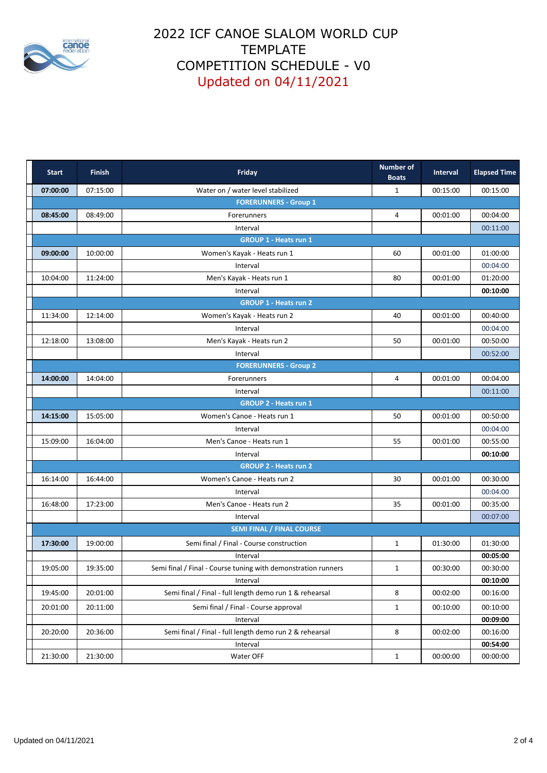

| <b>Start</b>                 | <b>Finish</b> | Friday                                                        | <b>Number of</b><br><b>Boats</b> | Interval | <b>Elapsed Time</b> |  |  |
|------------------------------|---------------|---------------------------------------------------------------|----------------------------------|----------|---------------------|--|--|
| 07:00:00                     | 07:15:00      | Water on / water level stabilized                             | $\mathbf{1}$                     | 00:15:00 | 00:15:00            |  |  |
|                              |               | <b>FORERUNNERS - Group 1</b>                                  |                                  |          |                     |  |  |
| 08:45:00                     | 08:49:00      | Forerunners                                                   | 4                                | 00:01:00 | 00:04:00            |  |  |
|                              |               | Interval                                                      |                                  |          | 00:11:00            |  |  |
|                              |               | <b>GROUP 1 - Heats run 1</b>                                  |                                  |          |                     |  |  |
| 09:00:00                     | 10:00:00      | Women's Kayak - Heats run 1                                   | 60                               | 00:01:00 | 01:00:00            |  |  |
|                              |               | Interval                                                      |                                  |          | 00:04:00            |  |  |
| 10:04:00                     | 11:24:00      | Men's Kayak - Heats run 1                                     | 80                               | 00:01:00 | 01:20:00            |  |  |
|                              |               | Interval                                                      |                                  |          | 00:10:00            |  |  |
|                              |               | <b>GROUP 1 - Heats run 2</b>                                  |                                  |          |                     |  |  |
| 11:34:00                     | 12:14:00      | Women's Kayak - Heats run 2                                   | 40                               | 00:01:00 | 00:40:00            |  |  |
|                              |               | Interval                                                      |                                  |          | 00:04:00            |  |  |
| 12:18:00                     | 13:08:00      | Men's Kayak - Heats run 2                                     | 50                               | 00:01:00 | 00:50:00            |  |  |
|                              |               | Interval                                                      |                                  |          | 00:52:00            |  |  |
|                              |               | <b>FORERUNNERS - Group 2</b>                                  |                                  |          |                     |  |  |
| 14:00:00                     | 14:04:00      | Forerunners                                                   | 4                                | 00:01:00 | 00:04:00            |  |  |
|                              |               | Interval                                                      |                                  |          | 00:11:00            |  |  |
|                              |               | <b>GROUP 2 - Heats run 1</b>                                  |                                  |          |                     |  |  |
| 14:15:00                     | 15:05:00      | Women's Canoe - Heats run 1                                   | 50                               | 00:01:00 | 00:50:00            |  |  |
|                              |               | Interval                                                      |                                  |          | 00:04:00            |  |  |
| 15:09:00                     | 16:04:00      | Men's Canoe - Heats run 1                                     | 55                               | 00:01:00 | 00:55:00            |  |  |
|                              |               | Interval                                                      |                                  |          | 00:10:00            |  |  |
| <b>GROUP 2 - Heats run 2</b> |               |                                                               |                                  |          |                     |  |  |
| 16:14:00                     | 16:44:00      | Women's Canoe - Heats run 2                                   | 30                               | 00:01:00 | 00:30:00            |  |  |
|                              |               | Interval                                                      |                                  |          | 00:04:00            |  |  |
| 16:48:00                     | 17:23:00      | Men's Canoe - Heats run 2                                     | 35                               | 00:01:00 | 00:35:00            |  |  |
|                              |               | Interval                                                      |                                  |          | 00:07:00            |  |  |
|                              |               | <b>SEMI FINAL / FINAL COURSE</b>                              |                                  |          |                     |  |  |
| 17:30:00                     | 19:00:00      | Semi final / Final - Course construction                      | $\mathbf{1}$                     | 01:30:00 | 01:30:00            |  |  |
|                              |               | Interval                                                      |                                  |          | 00:05:00            |  |  |
| 19:05:00                     | 19:35:00      | Semi final / Final - Course tuning with demonstration runners | $\mathbf{1}$                     | 00:30:00 | 00:30:00            |  |  |
|                              |               | Interval                                                      |                                  |          | 00:10:00            |  |  |
| 19:45:00                     | 20:01:00      | Semi final / Final - full length demo run 1 & rehearsal       | 8                                | 00:02:00 | 00:16:00            |  |  |
| 20:01:00                     | 20:11:00      | Semi final / Final - Course approval                          | $\mathbf{1}$                     | 00:10:00 | 00:10:00            |  |  |
|                              |               | Interval                                                      |                                  |          | 00:09:00            |  |  |
| 20:20:00                     | 20:36:00      | Semi final / Final - full length demo run 2 & rehearsal       | 8                                | 00:02:00 | 00:16:00            |  |  |
|                              |               | Interval                                                      |                                  |          | 00:54:00            |  |  |
| 21:30:00                     | 21:30:00      | Water OFF                                                     | $\mathbf 1$                      | 00:00:00 | 00:00:00            |  |  |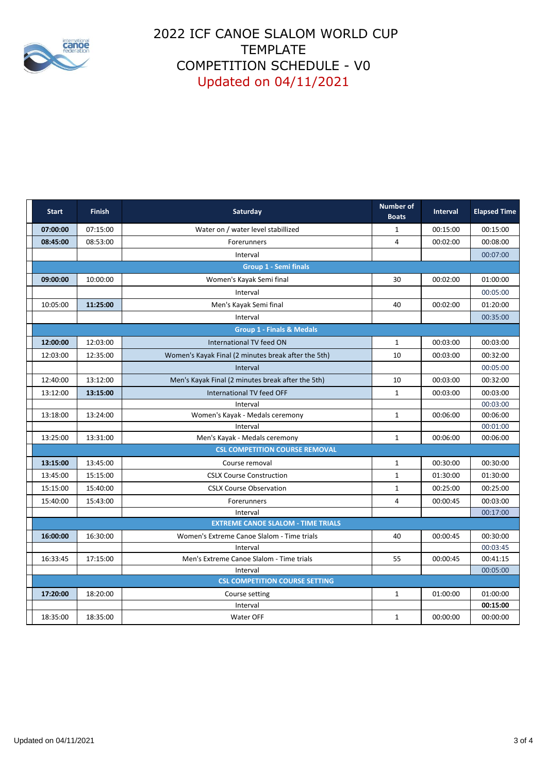

| <b>Start</b>                          | <b>Finish</b> | Saturday                                               | <b>Number of</b><br><b>Boats</b> | <b>Interval</b> | <b>Elapsed Time</b>  |  |
|---------------------------------------|---------------|--------------------------------------------------------|----------------------------------|-----------------|----------------------|--|
| 07:00:00                              | 07:15:00      | Water on / water level stabillized                     | $\mathbf{1}$                     | 00:15:00        | 00:15:00             |  |
| 08:45:00                              | 08:53:00      | Forerunners                                            | 4                                | 00:02:00        | 00:08:00             |  |
|                                       |               | Interval                                               |                                  |                 | 00:07:00             |  |
|                                       |               | <b>Group 1 - Semi finals</b>                           |                                  |                 |                      |  |
| 09:00:00                              | 10:00:00      | Women's Kayak Semi final                               | 30                               | 00:02:00        | 01:00:00             |  |
|                                       |               | Interval                                               |                                  |                 | 00:05:00             |  |
| 10:05:00                              | 11:25:00      | Men's Kayak Semi final                                 | 40                               | 00:02:00        | 01:20:00             |  |
|                                       |               | Interval                                               |                                  |                 | 00:35:00             |  |
|                                       |               | <b>Group 1 - Finals &amp; Medals</b>                   |                                  |                 |                      |  |
| 12:00:00                              | 12:03:00      | International TV feed ON                               | $\mathbf{1}$                     | 00:03:00        | 00:03:00             |  |
| 12:03:00                              | 12:35:00      | Women's Kayak Final (2 minutes break after the 5th)    | 10                               | 00:03:00        | 00:32:00             |  |
|                                       |               | Interval                                               |                                  |                 | 00:05:00             |  |
| 12:40:00                              | 13:12:00      | Men's Kayak Final (2 minutes break after the 5th)      | 10                               | 00:03:00        | 00:32:00             |  |
| 13:12:00                              | 13:15:00      | International TV feed OFF                              | $\mathbf{1}$                     | 00:03:00        | 00:03:00             |  |
|                                       |               | Interval                                               |                                  |                 | 00:03:00             |  |
| 13:18:00                              | 13:24:00      | Women's Kayak - Medals ceremony                        | $\mathbf{1}$                     | 00:06:00        | 00:06:00             |  |
|                                       |               | Interval                                               |                                  |                 | 00:01:00             |  |
| 13:25:00                              | 13:31:00      | Men's Kayak - Medals ceremony                          | $\mathbf{1}$                     | 00:06:00        | 00:06:00             |  |
| <b>CSL COMPETITION COURSE REMOVAL</b> |               |                                                        |                                  |                 |                      |  |
| 13:15:00                              | 13:45:00      | Course removal                                         | $\mathbf{1}$                     | 00:30:00        | 00:30:00             |  |
| 13:45:00                              | 15:15:00      | <b>CSLX Course Construction</b>                        | $\mathbf{1}$                     | 01:30:00        | 01:30:00             |  |
| 15:15:00                              | 15:40:00      | <b>CSLX Course Observation</b>                         | $\mathbf{1}$                     | 00:25:00        | 00:25:00             |  |
| 15:40:00                              | 15:43:00      | Forerunners                                            | $\overline{4}$                   | 00:00:45        | 00:03:00             |  |
|                                       |               | Interval                                               |                                  |                 | 00:17:00             |  |
|                                       |               | <b>EXTREME CANOE SLALOM - TIME TRIALS</b>              |                                  |                 |                      |  |
| 16:00:00                              | 16:30:00      | Women's Extreme Canoe Slalom - Time trials<br>Interval | 40                               | 00:00:45        | 00:30:00<br>00:03:45 |  |
| 16:33:45                              | 17:15:00      | Men's Extreme Canoe Slalom - Time trials               | 55                               | 00:00:45        | 00:41:15             |  |
|                                       |               | Interval                                               |                                  |                 | 00:05:00             |  |
|                                       |               | <b>CSL COMPETITION COURSE SETTING</b>                  |                                  |                 |                      |  |
| 17:20:00                              | 18:20:00      | Course setting                                         | $\mathbf{1}$                     | 01:00:00        | 01:00:00             |  |
|                                       |               | Interval                                               |                                  |                 | 00:15:00             |  |
| 18:35:00                              | 18:35:00      | Water OFF                                              | $\mathbf{1}$                     | 00:00:00        | 00:00:00             |  |